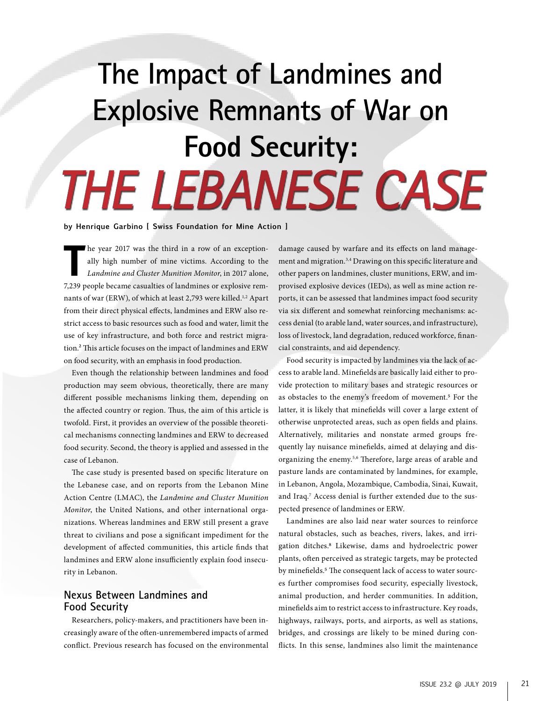# **The Impact of Landmines and Explosive Remnants of War on Food Security:** *THE LEBANESE CASE*

**by Henrique Garbino [ Swiss Foundation for Mine Action ]**

**T** he year 2017 was the third in a row of an exceptionally high number of mine victims. According to the *Landmine and Cluster Munition Monitor*, in 2017 alone, 7,239 people became casualties of landmines or explosive remnants of war (ERW), of which at least 2,793 were killed.<sup>1,2</sup> Apart from their direct physical effects, landmines and ERW also restrict access to basic resources such as food and water, limit the use of key infrastructure, and both force and restrict migration.2 This article focuses on the impact of landmines and ERW on food security, with an emphasis in food production.

Even though the relationship between landmines and food production may seem obvious, theoretically, there are many different possible mechanisms linking them, depending on the affected country or region. Thus, the aim of this article is twofold. First, it provides an overview of the possible theoretical mechanisms connecting landmines and ERW to decreased food security. Second, the theory is applied and assessed in the case of Lebanon.

The case study is presented based on specific literature on the Lebanese case, and on reports from the Lebanon Mine Action Centre (LMAC), the *Landmine and Cluster Munition Monitor*, the United Nations, and other international organizations. Whereas landmines and ERW still present a grave threat to civilians and pose a significant impediment for the development of affected communities, this article finds that landmines and ERW alone insufficiently explain food insecurity in Lebanon.

## **Nexus Between Landmines and Food Security**

Researchers, policy-makers, and practitioners have been increasingly aware of the often-unremembered impacts of armed conflict. Previous research has focused on the environmental damage caused by warfare and its effects on land management and migration.3,4 Drawing on this specific literature and other papers on landmines, cluster munitions, ERW, and improvised explosive devices (IEDs), as well as mine action reports, it can be assessed that landmines impact food security via six different and somewhat reinforcing mechanisms: access denial (to arable land, water sources, and infrastructure), loss of livestock, land degradation, reduced workforce, financial constraints, and aid dependency.

Food security is impacted by landmines via the lack of access to arable land. Minefields are basically laid either to provide protection to military bases and strategic resources or as obstacles to the enemy's freedom of movement.<sup>5</sup> For the latter, it is likely that minefields will cover a large extent of otherwise unprotected areas, such as open fields and plains. Alternatively, militaries and nonstate armed groups frequently lay nuisance minefields, aimed at delaying and disorganizing the enemy.5,6 Therefore, large areas of arable and pasture lands are contaminated by landmines, for example, in Lebanon, Angola, Mozambique, Cambodia, Sinai, Kuwait, and Iraq.7 Access denial is further extended due to the suspected presence of landmines or ERW.

Landmines are also laid near water sources to reinforce natural obstacles, such as beaches, rivers, lakes, and irrigation ditches.8 Likewise, dams and hydroelectric power plants, often perceived as strategic targets, may be protected by minefields.<sup>5</sup> The consequent lack of access to water sources further compromises food security, especially livestock, animal production, and herder communities. In addition, minefields aim to restrict access to infrastructure. Key roads, highways, railways, ports, and airports, as well as stations, bridges, and crossings are likely to be mined during conflicts. In this sense, landmines also limit the maintenance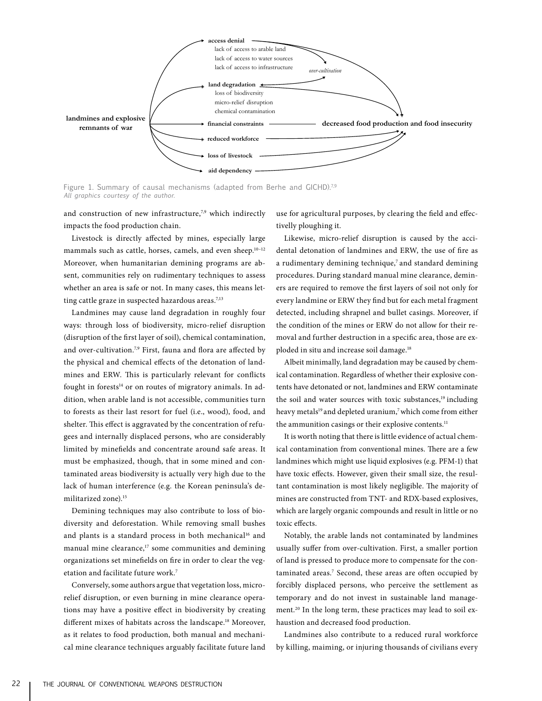

Figure 1. Summary of causal mechanisms (adapted from Berhe and GICHD).7,9 *All graphics courtesy of the author.*

and construction of new infrastructure,<sup>7,9</sup> which indirectly impacts the food production chain.

Livestock is directly affected by mines, especially large mammals such as cattle, horses, camels, and even sheep.<sup>10-12</sup> Moreover, when humanitarian demining programs are absent, communities rely on rudimentary techniques to assess whether an area is safe or not. In many cases, this means letting cattle graze in suspected hazardous areas.<sup>7,13</sup>

Landmines may cause land degradation in roughly four ways: through loss of biodiversity, micro-relief disruption (disruption of the first layer of soil), chemical contamination, and over-cultivation.<sup>7,9</sup> First, fauna and flora are affected by the physical and chemical effects of the detonation of landmines and ERW. This is particularly relevant for conflicts fought in forests $14$  or on routes of migratory animals. In addition, when arable land is not accessible, communities turn to forests as their last resort for fuel (i.e., wood), food, and shelter. This effect is aggravated by the concentration of refugees and internally displaced persons, who are considerably limited by minefields and concentrate around safe areas. It must be emphasized, though, that in some mined and contaminated areas biodiversity is actually very high due to the lack of human interference (e.g. the Korean peninsula's demilitarized zone).15

Demining techniques may also contribute to loss of biodiversity and deforestation. While removing small bushes and plants is a standard process in both mechanical<sup>16</sup> and manual mine clearance, $17$  some communities and demining organizations set minefields on fire in order to clear the vegetation and facilitate future work.7

Conversely, some authors argue that vegetation loss, microrelief disruption, or even burning in mine clearance operations may have a positive effect in biodiversity by creating different mixes of habitats across the landscape.18 Moreover, as it relates to food production, both manual and mechanical mine clearance techniques arguably facilitate future land use for agricultural purposes, by clearing the field and effectivelly ploughing it.

Likewise, micro-relief disruption is caused by the accidental detonation of landmines and ERW, the use of fire as a rudimentary demining technique,<sup>7</sup> and standard demining procedures. During standard manual mine clearance, deminers are required to remove the first layers of soil not only for every landmine or ERW they find but for each metal fragment detected, including shrapnel and bullet casings. Moreover, if the condition of the mines or ERW do not allow for their removal and further destruction in a specific area, those are exploded in situ and increase soil damage.<sup>18</sup>

Albeit minimally, land degradation may be caused by chemical contamination. Regardless of whether their explosive contents have detonated or not, landmines and ERW contaminate the soil and water sources with toxic substances,<sup>19</sup> including heavy metals<sup>19</sup> and depleted uranium,<sup>7</sup> which come from either the ammunition casings or their explosive contents.<sup>11</sup>

It is worth noting that there is little evidence of actual chemical contamination from conventional mines. There are a few landmines which might use liquid explosives (e.g. PFM-1) that have toxic effects. However, given their small size, the resultant contamination is most likely negligible. The majority of mines are constructed from TNT- and RDX-based explosives, which are largely organic compounds and result in little or no toxic effects.

Notably, the arable lands not contaminated by landmines usually suffer from over-cultivation. First, a smaller portion of land is pressed to produce more to compensate for the contaminated areas.<sup>7</sup> Second, these areas are often occupied by forcibly displaced persons, who perceive the settlement as temporary and do not invest in sustainable land management.<sup>20</sup> In the long term, these practices may lead to soil exhaustion and decreased food production.

Landmines also contribute to a reduced rural workforce by killing, maiming, or injuring thousands of civilians every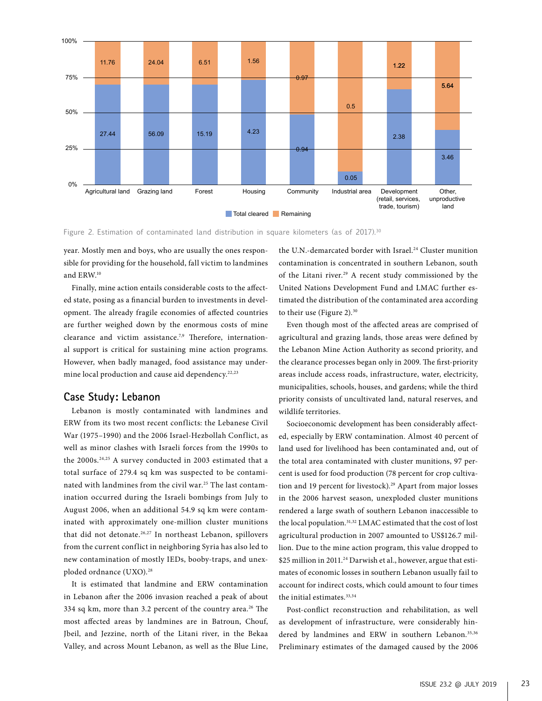

Figure 2. Estimation of contaminated land distribution in square kilometers (as of 2017).<sup>30</sup>

year. Mostly men and boys, who are usually the ones responsible for providing for the household, fall victim to landmines and ERW.10

Finally, mine action entails considerable costs to the affected state, posing as a financial burden to investments in development. The already fragile economies of affected countries are further weighed down by the enormous costs of mine clearance and victim assistance.<sup>7,9</sup> Therefore, international support is critical for sustaining mine action programs. However, when badly managed, food assistance may undermine local production and cause aid dependency.<sup>22,23</sup>

#### **Case Study: Lebanon**

Lebanon is mostly contaminated with landmines and ERW from its two most recent conflicts: the Lebanese Civil War (1975–1990) and the 2006 Israel-Hezbollah Conflict, as well as minor clashes with Israeli forces from the 1990s to the 2000s.<sup>24,25</sup> A survey conducted in 2003 estimated that a total surface of 279.4 sq km was suspected to be contaminated with landmines from the civil war.25 The last contamination occurred during the Israeli bombings from July to August 2006, when an additional 54.9 sq km were contaminated with approximately one-million cluster munitions that did not detonate.<sup>26,27</sup> In northeast Lebanon, spillovers from the current conflict in neighboring Syria has also led to new contamination of mostly IEDs, booby-traps, and unexploded ordnance (UXO).28

It is estimated that landmine and ERW contamination in Lebanon after the 2006 invasion reached a peak of about 334 sq km, more than 3.2 percent of the country area.<sup>26</sup> The most affected areas by landmines are in Batroun, Chouf, Jbeil, and Jezzine, north of the Litani river, in the Bekaa Valley, and across Mount Lebanon, as well as the Blue Line, the U.N.-demarcated border with Israel.<sup>24</sup> Cluster munition contamination is concentrated in southern Lebanon, south of the Litani river.<sup>29</sup> A recent study commissioned by the United Nations Development Fund and LMAC further estimated the distribution of the contaminated area according to their use (Figure 2).<sup>30</sup>

Even though most of the affected areas are comprised of agricultural and grazing lands, those areas were defined by the Lebanon Mine Action Authority as second priority, and the clearance processes began only in 2009. The first-priority areas include access roads, infrastructure, water, electricity, municipalities, schools, houses, and gardens; while the third priority consists of uncultivated land, natural reserves, and wildlife territories.

Socioeconomic development has been considerably affected, especially by ERW contamination. Almost 40 percent of land used for livelihood has been contaminated and, out of the total area contaminated with cluster munitions, 97 percent is used for food production (78 percent for crop cultivation and 19 percent for livestock).<sup>29</sup> Apart from major losses in the 2006 harvest season, unexploded cluster munitions rendered a large swath of southern Lebanon inaccessible to the local population.<sup>31,32</sup> LMAC estimated that the cost of lost agricultural production in 2007 amounted to US\$126.7 million. Due to the mine action program, this value dropped to \$25 million in 2011.<sup>24</sup> Darwish et al., however, argue that estimates of economic losses in southern Lebanon usually fail to account for indirect costs, which could amount to four times the initial estimates.<sup>33,34</sup>

Post-conflict reconstruction and rehabilitation, as well as development of infrastructure, were considerably hindered by landmines and ERW in southern Lebanon.<sup>35,36</sup> Preliminary estimates of the damaged caused by the 2006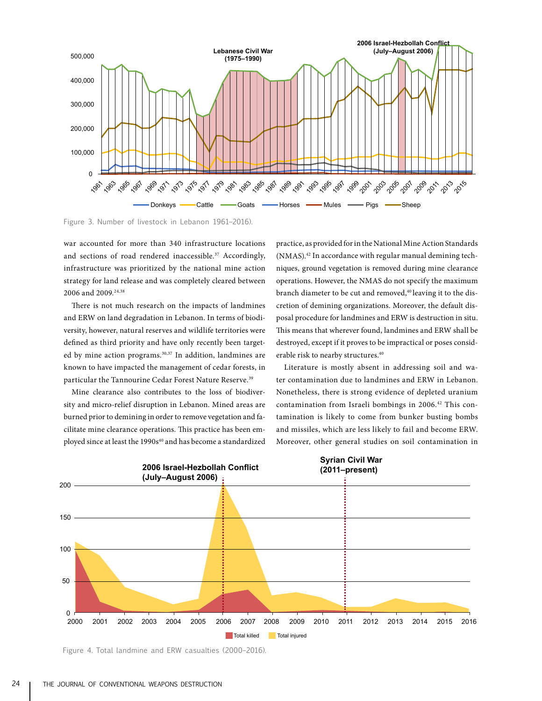

Figure 3. Number of livestock in Lebanon 1961–2016).

war accounted for more than 340 infrastructure locations and sections of road rendered inaccessible.<sup>37</sup> Accordingly, infrastructure was prioritized by the national mine action strategy for land release and was completely cleared between 2006 and 2009.<sup>24,38</sup>

There is not much research on the impacts of landmines and ERW on land degradation in Lebanon. In terms of biodiversity, however, natural reserves and wildlife territories were defined as third priority and have only recently been targeted by mine action programs.<sup>30,37</sup> In addition, landmines are known to have impacted the management of cedar forests, in particular the Tannourine Cedar Forest Nature Reserve.<sup>39</sup>

Mine clearance also contributes to the loss of biodiversity and micro-relief disruption in Lebanon. Mined areas are burned prior to demining in order to remove vegetation and facilitate mine clearance operations. This practice has been employed since at least the 1990s<sup>40</sup> and has become a standardized

practice, as provided for in the National Mine Action Standards (NMAS).42 In accordance with regular manual demining techniques, ground vegetation is removed during mine clearance operations. However, the NMAS do not specify the maximum branch diameter to be cut and removed,<sup>40</sup> leaving it to the discretion of demining organizations. Moreover, the default disposal procedure for landmines and ERW is destruction in situ. This means that wherever found, landmines and ERW shall be destroyed, except if it proves to be impractical or poses considerable risk to nearby structures.40

Literature is mostly absent in addressing soil and water contamination due to landmines and ERW in Lebanon. Nonetheless, there is strong evidence of depleted uranium contamination from Israeli bombings in 2006.42 This contamination is likely to come from bunker busting bombs and missiles, which are less likely to fail and become ERW. Moreover, other general studies on soil contamination in



Figure 4. Total landmine and ERW casualties (2000–2016).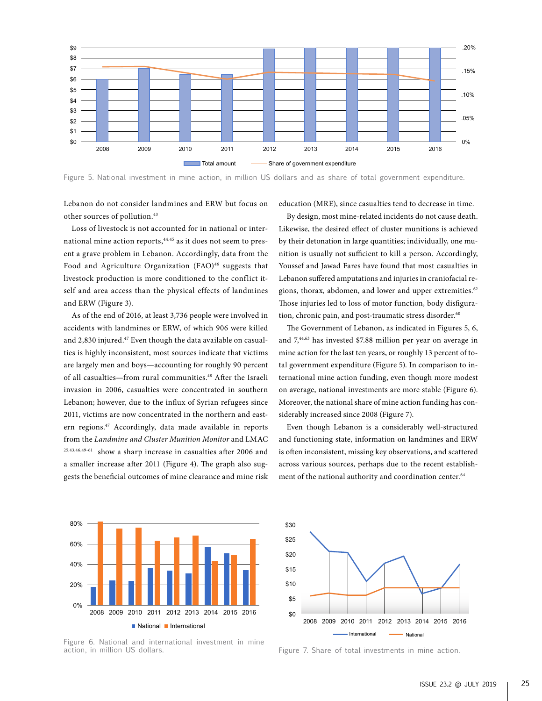

Figure 5. National investment in mine action, in million US dollars and as share of total government expenditure.

Lebanon do not consider landmines and ERW but focus on other sources of pollution.43

Loss of livestock is not accounted for in national or international mine action reports,<sup>44,45</sup> as it does not seem to present a grave problem in Lebanon. Accordingly, data from the Food and Agriculture Organization (FAO)<sup>46</sup> suggests that livestock production is more conditioned to the conflict itself and area access than the physical effects of landmines and ERW (Figure 3).

As of the end of 2016, at least 3,736 people were involved in accidents with landmines or ERW, of which 906 were killed and 2,830 injured.<sup>47</sup> Even though the data available on casualties is highly inconsistent, most sources indicate that victims are largely men and boys—accounting for roughly 90 percent of all casualties—from rural communities.48 After the Israeli invasion in 2006, casualties were concentrated in southern Lebanon; however, due to the influx of Syrian refugees since 2011, victims are now concentrated in the northern and eastern regions.47 Accordingly, data made available in reports from the *Landmine and Cluster Munition Monitor* and LMAC 25,43,46,49-61 show a sharp increase in casualties after 2006 and a smaller increase after 2011 (Figure 4). The graph also suggests the beneficial outcomes of mine clearance and mine risk education (MRE), since casualties tend to decrease in time.

By design, most mine-related incidents do not cause death. Likewise, the desired effect of cluster munitions is achieved by their detonation in large quantities; individually, one munition is usually not sufficient to kill a person. Accordingly, Youssef and Jawad Fares have found that most casualties in Lebanon suffered amputations and injuries in craniofacial regions, thorax, abdomen, and lower and upper extremities.<sup>62</sup> Those injuries led to loss of motor function, body disfiguration, chronic pain, and post-traumatic stress disorder.<sup>60</sup>

The Government of Lebanon, as indicated in Figures 5, 6, and 7,44,63 has invested \$7.88 million per year on average in mine action for the last ten years, or roughly 13 percent of total government expenditure (Figure 5). In comparison to international mine action funding, even though more modest on average, national investments are more stable (Figure 6). Moreover, the national share of mine action funding has considerably increased since 2008 (Figure 7).

Even though Lebanon is a considerably well-structured and functioning state, information on landmines and ERW is often inconsistent, missing key observations, and scattered across various sources, perhaps due to the recent establishment of the national authority and coordination center.<sup>64</sup>



Figure 6. National and international investment in mine action, in million US dollars.



Figure 7. Share of total investments in mine action.